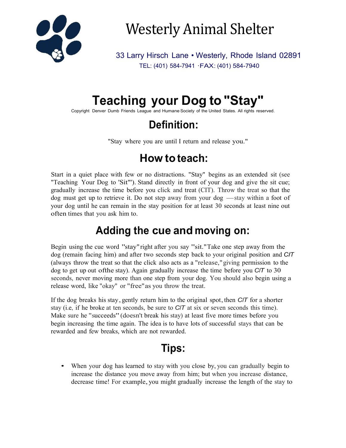

Westerly Animal Shelter

33 Larry Hirsch Lane • Westerly, Rhode Island 02891 TEL: (401) 584-7941 ·FAX: (401) 584-7940

# **Teaching your Dog to "Stay"**

Copyright Denver Dumb Friends League and Humane Society of the United States. All rights reserved.

### **Definition:**

"Stay where you are until I return and release you."

## **How to teach:**

Start in a quiet place with few or no distractions. "Stay" begins as an extended sit (see "Teaching Your Dog to 'Sit"'). Stand directly in front of your dog and give the sit cue; gradually increase the time before you click and treat (CIT). Throw the treat so that the dog must get up to retrieve it. Do not step gradually increase the time before you click and treat (CIT). Throw the treat so that the your dog until he can remain in the stay position for at least 30 seconds at least nine out often times that you ask him to.

#### **Adding the cue and moving on:**

Begin using the cue word "stay"right after you say "sit."Take one step away from the dog (remain facing him) and after two seconds step back to your original position and *CIT* (always throw the treat so that the click also acts as a "release,"giving permission to the dog to get up out ofthe stay). Again gradually increase the time before you *CIT* to 30 seconds, never moving more than one step from your dog. You should also begin using a release word, like "okay" or "free"as you throw the treat.

If the dog breaks his stay, gently return him to the original spot, then *CIT* for a shorter stay (i.e, if he broke at ten seconds, be sure to *CIT* at six or seven seconds this time). Make sure he "succeeds"(doesn't break his stay) at least five more times before you begin increasing the time again. The idea is to have lots of successful stays that can be rewarded and few breaks, which are not rewarded.

## **Tips:**

• When your dog has learned to stay with you close by, you can gradually begin to increase the distance you move away from him; but when you increase distance, decrease time! For example,you might gradually increase the length of the stay to